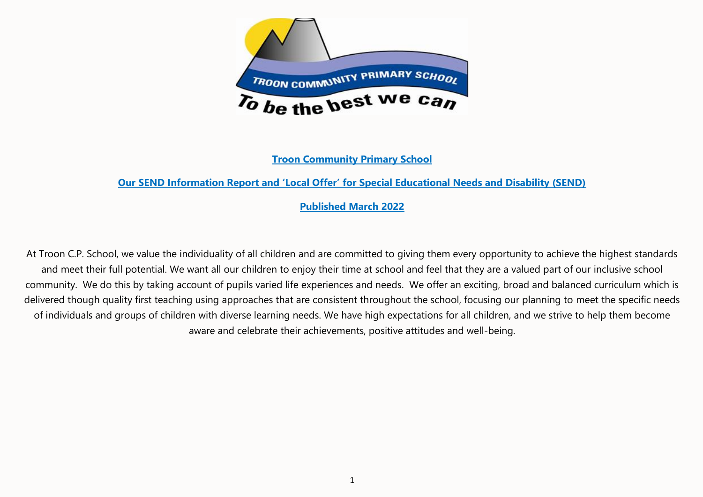

**Troon Community Primary School**

## **Our SEND Information Report and 'Local Offer' for Special Educational Needs and Disability (SEND)**

### **Published March 2022**

At Troon C.P. School, we value the individuality of all children and are committed to giving them every opportunity to achieve the highest standards and meet their full potential. We want all our children to enjoy their time at school and feel that they are a valued part of our inclusive school community. We do this by taking account of pupils varied life experiences and needs. We offer an exciting, broad and balanced curriculum which is delivered though quality first teaching using approaches that are consistent throughout the school, focusing our planning to meet the specific needs of individuals and groups of children with diverse learning needs. We have high expectations for all children, and we strive to help them become aware and celebrate their achievements, positive attitudes and well-being.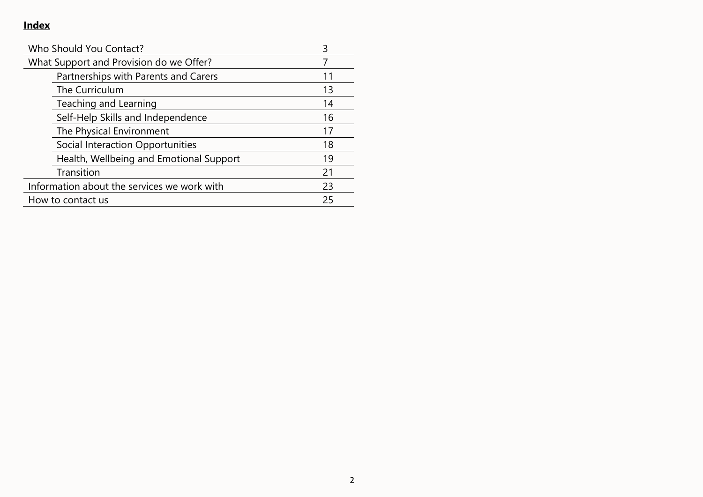# **Index**

| Who Should You Contact?                     |    |
|---------------------------------------------|----|
| What Support and Provision do we Offer?     |    |
| Partnerships with Parents and Carers        | 11 |
| The Curriculum                              | 13 |
| Teaching and Learning                       | 14 |
| Self-Help Skills and Independence           | 16 |
| The Physical Environment                    | 17 |
| Social Interaction Opportunities            | 18 |
| Health, Wellbeing and Emotional Support     | 19 |
| Transition                                  | 21 |
| Information about the services we work with | 23 |
| How to contact us                           | 25 |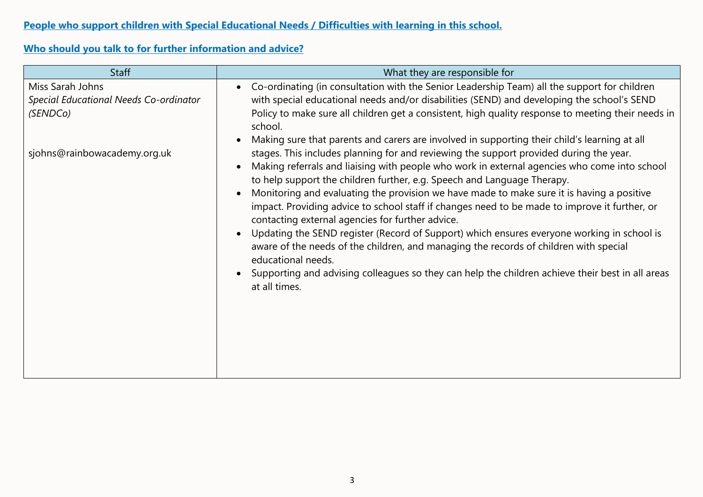## **Who should you talk to for further information and advice?**

| <b>Staff</b>                                                           | What they are responsible for                                                                                                                                                                                                                                                                                                                                                                                                                                                                                                                                                                                                                                                                                                                                                                                                                                      |  |
|------------------------------------------------------------------------|--------------------------------------------------------------------------------------------------------------------------------------------------------------------------------------------------------------------------------------------------------------------------------------------------------------------------------------------------------------------------------------------------------------------------------------------------------------------------------------------------------------------------------------------------------------------------------------------------------------------------------------------------------------------------------------------------------------------------------------------------------------------------------------------------------------------------------------------------------------------|--|
| Miss Sarah Johns<br>Special Educational Needs Co-ordinator<br>(SENDCo) | Co-ordinating (in consultation with the Senior Leadership Team) all the support for children<br>$\bullet$<br>with special educational needs and/or disabilities (SEND) and developing the school's SEND<br>Policy to make sure all children get a consistent, high quality response to meeting their needs in<br>school.<br>Making sure that parents and carers are involved in supporting their child's learning at all<br>$\bullet$                                                                                                                                                                                                                                                                                                                                                                                                                              |  |
| sjohns@rainbowacademy.org.uk                                           | stages. This includes planning for and reviewing the support provided during the year.<br>Making referrals and liaising with people who work in external agencies who come into school<br>to help support the children further, e.g. Speech and Language Therapy.<br>Monitoring and evaluating the provision we have made to make sure it is having a positive<br>impact. Providing advice to school staff if changes need to be made to improve it further, or<br>contacting external agencies for further advice.<br>Updating the SEND register (Record of Support) which ensures everyone working in school is<br>$\bullet$<br>aware of the needs of the children, and managing the records of children with special<br>educational needs.<br>Supporting and advising colleagues so they can help the children achieve their best in all areas<br>at all times. |  |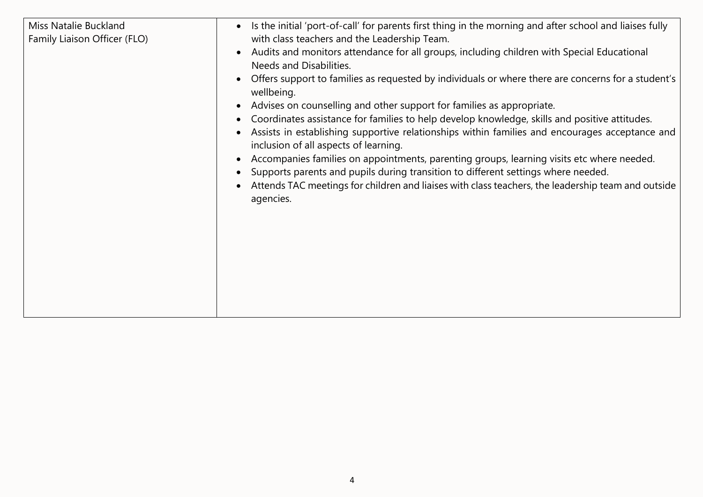| Miss Natalie Buckland<br>Family Liaison Officer (FLO) | Is the initial 'port-of-call' for parents first thing in the morning and after school and liaises fully<br>$\bullet$<br>with class teachers and the Leadership Team.<br>Audits and monitors attendance for all groups, including children with Special Educational<br>$\bullet$<br>Needs and Disabilities.<br>Offers support to families as requested by individuals or where there are concerns for a student's<br>wellbeing.<br>Advises on counselling and other support for families as appropriate.<br>Coordinates assistance for families to help develop knowledge, skills and positive attitudes.<br>Assists in establishing supportive relationships within families and encourages acceptance and<br>inclusion of all aspects of learning.<br>Accompanies families on appointments, parenting groups, learning visits etc where needed.<br>Supports parents and pupils during transition to different settings where needed.<br>Attends TAC meetings for children and liaises with class teachers, the leadership team and outside<br>agencies. |
|-------------------------------------------------------|----------------------------------------------------------------------------------------------------------------------------------------------------------------------------------------------------------------------------------------------------------------------------------------------------------------------------------------------------------------------------------------------------------------------------------------------------------------------------------------------------------------------------------------------------------------------------------------------------------------------------------------------------------------------------------------------------------------------------------------------------------------------------------------------------------------------------------------------------------------------------------------------------------------------------------------------------------------------------------------------------------------------------------------------------------|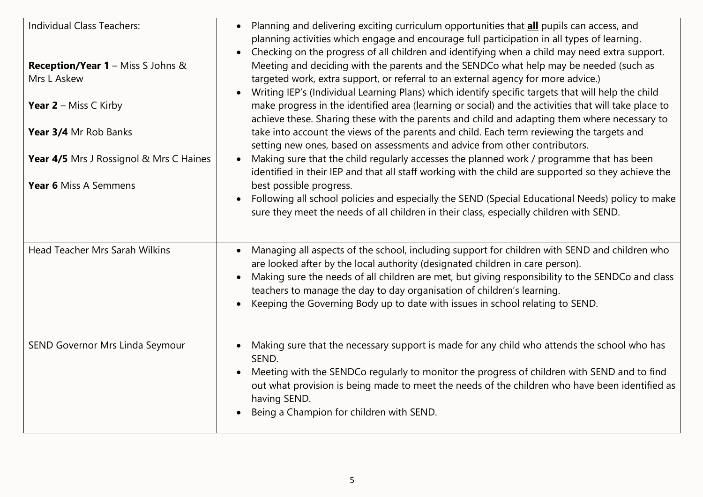| Individual Class Teachers:<br><b>Reception/Year 1 - Miss S Johns &amp;</b><br>Mrs L Askew<br><b>Year 2</b> – Miss C Kirby<br>Year 3/4 Mr Rob Banks<br><b>Year 4/5</b> Mrs J Rossignol & Mrs C Haines<br>Year 6 Miss A Semmens | Planning and delivering exciting curriculum opportunities that all pupils can access, and<br>planning activities which engage and encourage full participation in all types of learning.<br>Checking on the progress of all children and identifying when a child may need extra support.<br>Meeting and deciding with the parents and the SENDCo what help may be needed (such as<br>targeted work, extra support, or referral to an external agency for more advice.)<br>Writing IEP's (Individual Learning Plans) which identify specific targets that will help the child<br>make progress in the identified area (learning or social) and the activities that will take place to<br>achieve these. Sharing these with the parents and child and adapting them where necessary to<br>take into account the views of the parents and child. Each term reviewing the targets and<br>setting new ones, based on assessments and advice from other contributors.<br>Making sure that the child regularly accesses the planned work / programme that has been<br>identified in their IEP and that all staff working with the child are supported so they achieve the<br>best possible progress.<br>Following all school policies and especially the SEND (Special Educational Needs) policy to make<br>sure they meet the needs of all children in their class, especially children with SEND. |
|-------------------------------------------------------------------------------------------------------------------------------------------------------------------------------------------------------------------------------|-----------------------------------------------------------------------------------------------------------------------------------------------------------------------------------------------------------------------------------------------------------------------------------------------------------------------------------------------------------------------------------------------------------------------------------------------------------------------------------------------------------------------------------------------------------------------------------------------------------------------------------------------------------------------------------------------------------------------------------------------------------------------------------------------------------------------------------------------------------------------------------------------------------------------------------------------------------------------------------------------------------------------------------------------------------------------------------------------------------------------------------------------------------------------------------------------------------------------------------------------------------------------------------------------------------------------------------------------------------------------------------------------|
| <b>Head Teacher Mrs Sarah Wilkins</b><br>SEND Governor Mrs Linda Seymour                                                                                                                                                      | Managing all aspects of the school, including support for children with SEND and children who<br>are looked after by the local authority (designated children in care person).<br>Making sure the needs of all children are met, but giving responsibility to the SENDCo and class<br>teachers to manage the day to day organisation of children's learning.<br>Keeping the Governing Body up to date with issues in school relating to SEND.<br>Making sure that the necessary support is made for any child who attends the school who has                                                                                                                                                                                                                                                                                                                                                                                                                                                                                                                                                                                                                                                                                                                                                                                                                                                  |
|                                                                                                                                                                                                                               | SEND.<br>Meeting with the SENDCo regularly to monitor the progress of children with SEND and to find<br>out what provision is being made to meet the needs of the children who have been identified as<br>having SEND.<br>Being a Champion for children with SEND.                                                                                                                                                                                                                                                                                                                                                                                                                                                                                                                                                                                                                                                                                                                                                                                                                                                                                                                                                                                                                                                                                                                            |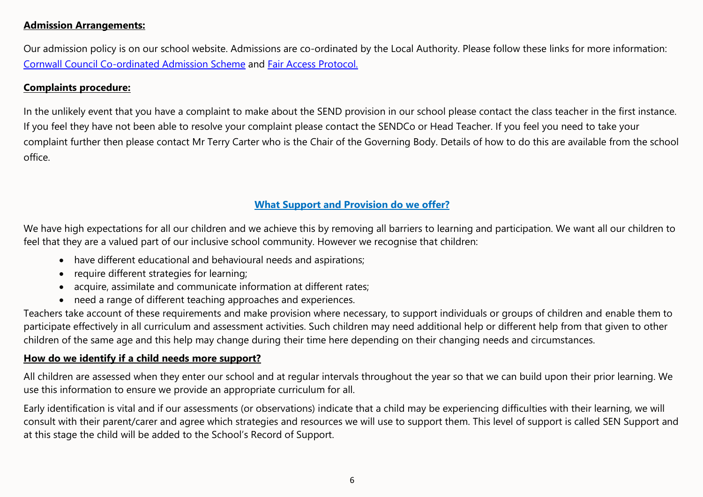#### **Admission Arrangements:**

Our admission policy is on our school website. Admissions are co-ordinated by the Local Authority. Please follow these links for more information: [Cornwall Council Co-ordinated Admission Scheme](https://www.cornwall.gov.uk/education-and-learning/schools-and-colleges/school-admissions/) and [Fair Access Protocol.](https://www.cornwall.gov.uk/education-and-learning/schools-and-colleges/school-admissions/fair-access-protocol/)

### **Complaints procedure:**

In the unlikely event that you have a complaint to make about the SEND provision in our school please contact the class teacher in the first instance. If you feel they have not been able to resolve your complaint please contact the SENDCo or Head Teacher. If you feel you need to take your complaint further then please contact Mr Terry Carter who is the Chair of the Governing Body. Details of how to do this are available from the school office.

## **What Support and Provision do we offer?**

We have high expectations for all our children and we achieve this by removing all barriers to learning and participation. We want all our children to feel that they are a valued part of our inclusive school community. However we recognise that children:

- have different educational and behavioural needs and aspirations;
- require different strategies for learning;
- acquire, assimilate and communicate information at different rates;
- need a range of different teaching approaches and experiences.

Teachers take account of these requirements and make provision where necessary, to support individuals or groups of children and enable them to participate effectively in all curriculum and assessment activities. Such children may need additional help or different help from that given to other children of the same age and this help may change during their time here depending on their changing needs and circumstances.

### **How do we identify if a child needs more support?**

All children are assessed when they enter our school and at regular intervals throughout the year so that we can build upon their prior learning. We use this information to ensure we provide an appropriate curriculum for all.

Early identification is vital and if our assessments (or observations) indicate that a child may be experiencing difficulties with their learning, we will consult with their parent/carer and agree which strategies and resources we will use to support them. This level of support is called SEN Support and at this stage the child will be added to the School's Record of Support.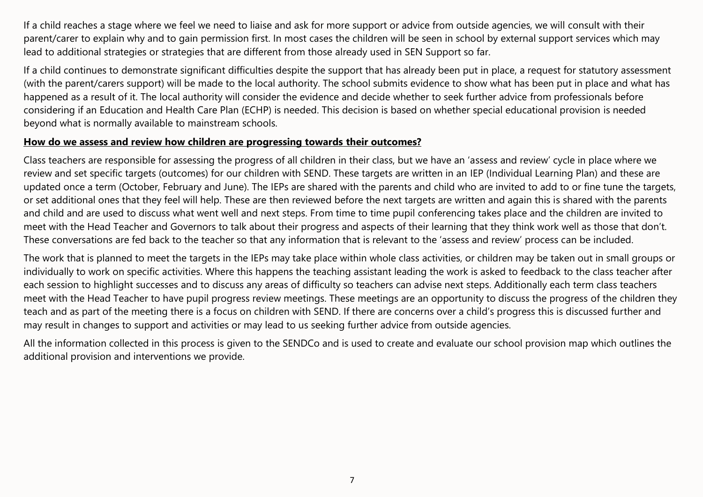If a child reaches a stage where we feel we need to liaise and ask for more support or advice from outside agencies, we will consult with their parent/carer to explain why and to gain permission first. In most cases the children will be seen in school by external support services which may lead to additional strategies or strategies that are different from those already used in SEN Support so far.

If a child continues to demonstrate significant difficulties despite the support that has already been put in place, a request for statutory assessment (with the parent/carers support) will be made to the local authority. The school submits evidence to show what has been put in place and what has happened as a result of it. The local authority will consider the evidence and decide whether to seek further advice from professionals before considering if an Education and Health Care Plan (ECHP) is needed. This decision is based on whether special educational provision is needed beyond what is normally available to mainstream schools.

### **How do we assess and review how children are progressing towards their outcomes?**

Class teachers are responsible for assessing the progress of all children in their class, but we have an 'assess and review' cycle in place where we review and set specific targets (outcomes) for our children with SEND. These targets are written in an IEP (Individual Learning Plan) and these are updated once a term (October, February and June). The IEPs are shared with the parents and child who are invited to add to or fine tune the targets, or set additional ones that they feel will help. These are then reviewed before the next targets are written and again this is shared with the parents and child and are used to discuss what went well and next steps. From time to time pupil conferencing takes place and the children are invited to meet with the Head Teacher and Governors to talk about their progress and aspects of their learning that they think work well as those that don't. These conversations are fed back to the teacher so that any information that is relevant to the 'assess and review' process can be included.

The work that is planned to meet the targets in the IEPs may take place within whole class activities, or children may be taken out in small groups or individually to work on specific activities. Where this happens the teaching assistant leading the work is asked to feedback to the class teacher after each session to highlight successes and to discuss any areas of difficulty so teachers can advise next steps. Additionally each term class teachers meet with the Head Teacher to have pupil progress review meetings. These meetings are an opportunity to discuss the progress of the children they teach and as part of the meeting there is a focus on children with SEND. If there are concerns over a child's progress this is discussed further and may result in changes to support and activities or may lead to us seeking further advice from outside agencies.

All the information collected in this process is given to the SENDCo and is used to create and evaluate our school provision map which outlines the additional provision and interventions we provide.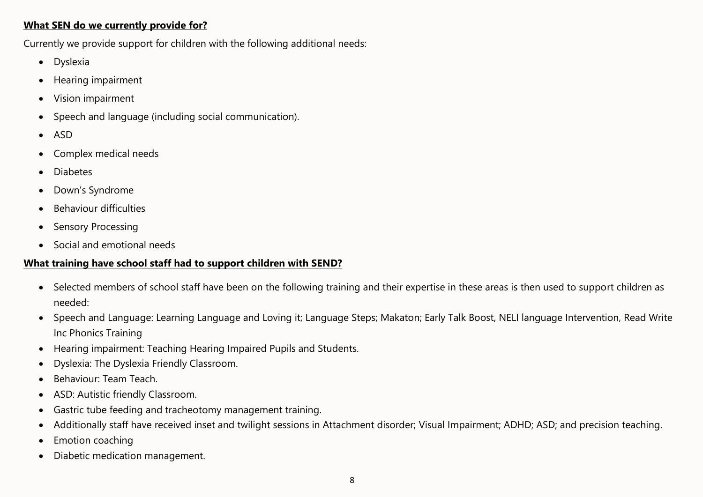#### **What SEN do we currently provide for?**

Currently we provide support for children with the following additional needs:

- Dyslexia
- Hearing impairment
- Vision impairment
- Speech and language (including social communication).
- ASD
- Complex medical needs
- Diabetes
- Down's Syndrome
- Behaviour difficulties
- Sensory Processing
- Social and emotional needs

### **What training have school staff had to support children with SEND?**

- Selected members of school staff have been on the following training and their expertise in these areas is then used to support children as needed:
- Speech and Language: Learning Language and Loving it; Language Steps; Makaton; Early Talk Boost, NELI language Intervention, Read Write Inc Phonics Training
- Hearing impairment: Teaching Hearing Impaired Pupils and Students.
- Dyslexia: The Dyslexia Friendly Classroom.
- Behaviour: Team Teach.
- ASD: Autistic friendly Classroom.
- Gastric tube feeding and tracheotomy management training.
- Additionally staff have received inset and twilight sessions in Attachment disorder; Visual Impairment; ADHD; ASD; and precision teaching.
- **Emotion coaching**
- Diabetic medication management.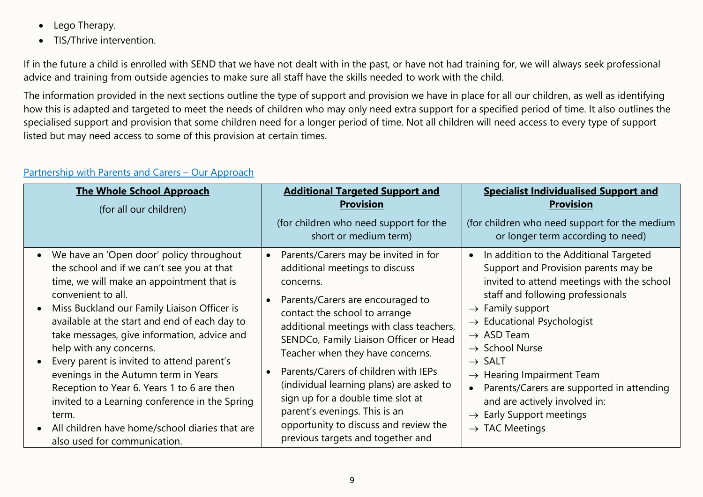- Lego Therapy.
- TIS/Thrive intervention.

If in the future a child is enrolled with SEND that we have not dealt with in the past, or have not had training for, we will always seek professional advice and training from outside agencies to make sure all staff have the skills needed to work with the child.

The information provided in the next sections outline the type of support and provision we have in place for all our children, as well as identifying how this is adapted and targeted to meet the needs of children who may only need extra support for a specified period of time. It also outlines the specialised support and provision that some children need for a longer period of time. Not all children will need access to every type of support listed but may need access to some of this provision at certain times.

| <b>The Whole School Approach</b><br>(for all our children)                                                                                                                                                                                                                                                                                                                                                                                                                                                                                                                                                           | <b>Additional Targeted Support and</b><br><b>Provision</b>                                                                                                                                                                                                                                                                                                                                                                                                                                                                                                        | <b>Specialist Individualised Support and</b><br><b>Provision</b>                                                                                                                                                                                                                                                                                                                                                                                                                                                                                 |
|----------------------------------------------------------------------------------------------------------------------------------------------------------------------------------------------------------------------------------------------------------------------------------------------------------------------------------------------------------------------------------------------------------------------------------------------------------------------------------------------------------------------------------------------------------------------------------------------------------------------|-------------------------------------------------------------------------------------------------------------------------------------------------------------------------------------------------------------------------------------------------------------------------------------------------------------------------------------------------------------------------------------------------------------------------------------------------------------------------------------------------------------------------------------------------------------------|--------------------------------------------------------------------------------------------------------------------------------------------------------------------------------------------------------------------------------------------------------------------------------------------------------------------------------------------------------------------------------------------------------------------------------------------------------------------------------------------------------------------------------------------------|
|                                                                                                                                                                                                                                                                                                                                                                                                                                                                                                                                                                                                                      | (for children who need support for the<br>short or medium term)                                                                                                                                                                                                                                                                                                                                                                                                                                                                                                   | (for children who need support for the medium<br>or longer term according to need)                                                                                                                                                                                                                                                                                                                                                                                                                                                               |
| We have an 'Open door' policy throughout<br>the school and if we can't see you at that<br>time, we will make an appointment that is<br>convenient to all.<br>Miss Buckland our Family Liaison Officer is<br>available at the start and end of each day to<br>take messages, give information, advice and<br>help with any concerns.<br>Every parent is invited to attend parent's<br>evenings in the Autumn term in Years<br>Reception to Year 6. Years 1 to 6 are then<br>invited to a Learning conference in the Spring<br>term.<br>All children have home/school diaries that are<br>also used for communication. | Parents/Carers may be invited in for<br>$\bullet$<br>additional meetings to discuss<br>concerns.<br>Parents/Carers are encouraged to<br>$\bullet$<br>contact the school to arrange<br>additional meetings with class teachers,<br>SENDCo, Family Liaison Officer or Head<br>Teacher when they have concerns.<br>Parents/Carers of children with IEPs<br>$\bullet$<br>(individual learning plans) are asked to<br>sign up for a double time slot at<br>parent's evenings. This is an<br>opportunity to discuss and review the<br>previous targets and together and | In addition to the Additional Targeted<br>$\bullet$<br>Support and Provision parents may be<br>invited to attend meetings with the school<br>staff and following professionals<br>$\rightarrow$ Family support<br>$\rightarrow$ Educational Psychologist<br>$\rightarrow$ ASD Team<br>$\rightarrow$ School Nurse<br>$\rightarrow$ SALT<br>$\rightarrow$ Hearing Impairment Team<br>Parents/Carers are supported in attending<br>$\bullet$<br>and are actively involved in:<br>$\rightarrow$ Early Support meetings<br>$\rightarrow$ TAC Meetings |

## Partnership with Parents and Carers – Our Approach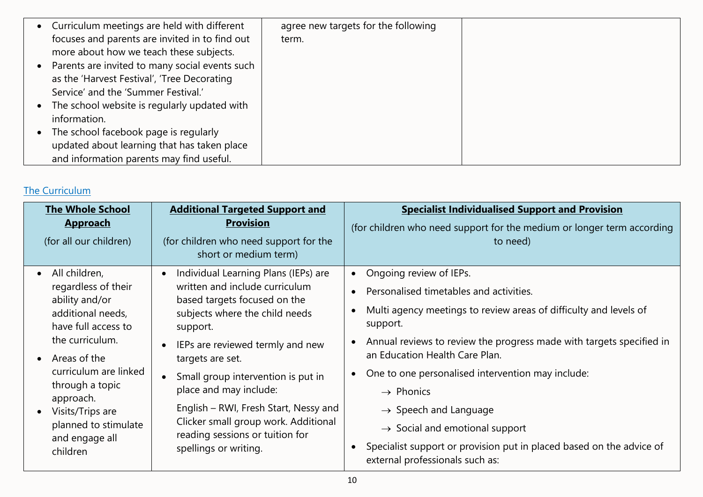| • Curriculum meetings are held with different  | agree new targets for the following |  |
|------------------------------------------------|-------------------------------------|--|
| focuses and parents are invited in to find out | term.                               |  |
| more about how we teach these subjects.        |                                     |  |
| Parents are invited to many social events such |                                     |  |
| as the 'Harvest Festival', 'Tree Decorating    |                                     |  |
| Service' and the 'Summer Festival.'            |                                     |  |
| The school website is regularly updated with   |                                     |  |
| information.                                   |                                     |  |
| The school facebook page is regularly          |                                     |  |
| updated about learning that has taken place    |                                     |  |
| and information parents may find useful.       |                                     |  |

## The Curriculum

| <b>The Whole School</b><br><b>Approach</b><br>(for all our children)                                                                                                                                                                                                                                 | <b>Additional Targeted Support and</b><br><b>Provision</b><br>(for children who need support for the<br>short or medium term)                                                                                                                                                                                                                                                                                             | <b>Specialist Individualised Support and Provision</b><br>(for children who need support for the medium or longer term according<br>to need)                                                                                                                                                                                                                                                                                                                                                                                                                                                                            |
|------------------------------------------------------------------------------------------------------------------------------------------------------------------------------------------------------------------------------------------------------------------------------------------------------|---------------------------------------------------------------------------------------------------------------------------------------------------------------------------------------------------------------------------------------------------------------------------------------------------------------------------------------------------------------------------------------------------------------------------|-------------------------------------------------------------------------------------------------------------------------------------------------------------------------------------------------------------------------------------------------------------------------------------------------------------------------------------------------------------------------------------------------------------------------------------------------------------------------------------------------------------------------------------------------------------------------------------------------------------------------|
| All children,<br>$\bullet$<br>regardless of their<br>ability and/or<br>additional needs,<br>have full access to<br>the curriculum.<br>Areas of the<br>$\bullet$<br>curriculum are linked<br>through a topic<br>approach.<br>• Visits/Trips are<br>planned to stimulate<br>and engage all<br>children | Individual Learning Plans (IEPs) are<br>written and include curriculum<br>based targets focused on the<br>subjects where the child needs<br>support.<br>IEPs are reviewed termly and new<br>targets are set.<br>Small group intervention is put in<br>place and may include:<br>English – RWI, Fresh Start, Nessy and<br>Clicker small group work. Additional<br>reading sessions or tuition for<br>spellings or writing. | Ongoing review of IEPs.<br>$\bullet$<br>Personalised timetables and activities.<br>$\bullet$<br>Multi agency meetings to review areas of difficulty and levels of<br>$\bullet$<br>support.<br>Annual reviews to review the progress made with targets specified in<br>$\bullet$<br>an Education Health Care Plan.<br>One to one personalised intervention may include:<br>$\bullet$<br>$\rightarrow$ Phonics<br>$\rightarrow$ Speech and Language<br>$\rightarrow$ Social and emotional support<br>Specialist support or provision put in placed based on the advice of<br>$\bullet$<br>external professionals such as: |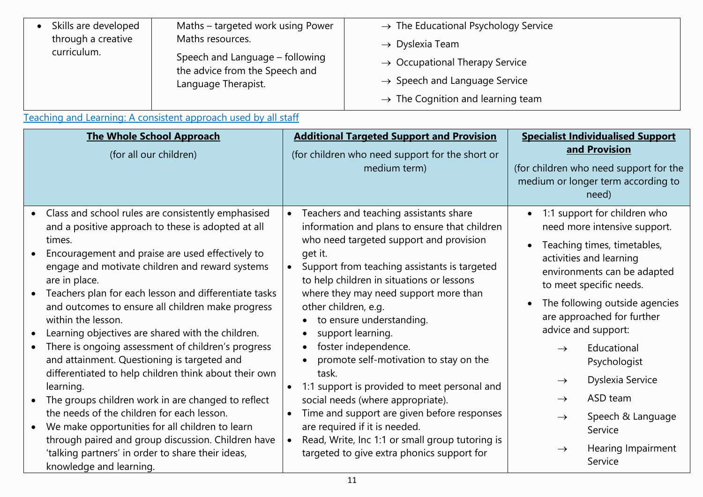| Skills are developed | Maths - targeted work using Power<br>Maths resources.<br>Speech and Language - following<br>the advice from the Speech and | $\rightarrow$ The Educational Psychology Service |
|----------------------|----------------------------------------------------------------------------------------------------------------------------|--------------------------------------------------|
| through a creative   |                                                                                                                            | $\rightarrow$ Dyslexia Team                      |
| curriculum.          |                                                                                                                            | $\rightarrow$ Occupational Therapy Service       |
|                      | Language Therapist.                                                                                                        | $\rightarrow$ Speech and Language Service        |
|                      |                                                                                                                            | $\rightarrow$ The Cognition and learning team    |

Teaching and Learning: A consistent approach used by all staff

| <b>The Whole School Approach</b><br>(for all our children) | <b>Additional Targeted Support and Provision</b><br>(for children who need support for the short or<br>medium term) | <b>Specialist Individualised Support</b><br>and Provision<br>(for children who need support for the<br>medium or longer term according to<br>need) |
|------------------------------------------------------------|---------------------------------------------------------------------------------------------------------------------|----------------------------------------------------------------------------------------------------------------------------------------------------|
| Class and school rules are consistently emphasised         | Teachers and teaching assistants share                                                                              | 1:1 support for children who                                                                                                                       |
| $\bullet$                                                  | information and plans to ensure that children                                                                       | need more intensive support.                                                                                                                       |
| and a positive approach to these is adopted at all         | who need targeted support and provision                                                                             | Teaching times, timetables,                                                                                                                        |
| times.                                                     | get it.                                                                                                             | activities and learning                                                                                                                            |
| Encouragement and praise are used effectively to           | Support from teaching assistants is targeted                                                                        | environments can be adapted                                                                                                                        |
| engage and motivate children and reward systems            | to help children in situations or lessons                                                                           | to meet specific needs.                                                                                                                            |
| are in place.                                              | where they may need support more than                                                                               | The following outside agencies                                                                                                                     |
| Teachers plan for each lesson and differentiate tasks      | other children, e.g.                                                                                                | are approached for further                                                                                                                         |
| and outcomes to ensure all children make progress          | to ensure understanding.                                                                                            | advice and support:                                                                                                                                |
| within the lesson.                                         | support learning.                                                                                                   | Educational                                                                                                                                        |
| Learning objectives are shared with the children.          | $\bullet$                                                                                                           | $\rightarrow$                                                                                                                                      |
| There is ongoing assessment of children's progress         | foster independence.                                                                                                | Psychologist                                                                                                                                       |
| and attainment. Questioning is targeted and                | $\bullet$                                                                                                           | Dyslexia Service                                                                                                                                   |
| differentiated to help children think about their own      | promote self-motivation to stay on the                                                                              | $\rightarrow$                                                                                                                                      |
| learning.                                                  | task.                                                                                                               | ASD team                                                                                                                                           |
| The groups children work in are changed to reflect         | 1:1 support is provided to meet personal and                                                                        | $\rightarrow$                                                                                                                                      |
| the needs of the children for each lesson.                 | social needs (where appropriate).                                                                                   | Speech & Language                                                                                                                                  |
| We make opportunities for all children to learn            | Time and support are given before responses                                                                         | $\rightarrow$                                                                                                                                      |
| $\bullet$                                                  | are required if it is needed.                                                                                       | Service                                                                                                                                            |
| through paired and group discussion. Children have         | Read, Write, Inc 1:1 or small group tutoring is                                                                     | Hearing Impairment                                                                                                                                 |
| 'talking partners' in order to share their ideas,          | $\bullet$                                                                                                           | $\rightarrow$                                                                                                                                      |
| knowledge and learning.                                    | targeted to give extra phonics support for                                                                          | Service                                                                                                                                            |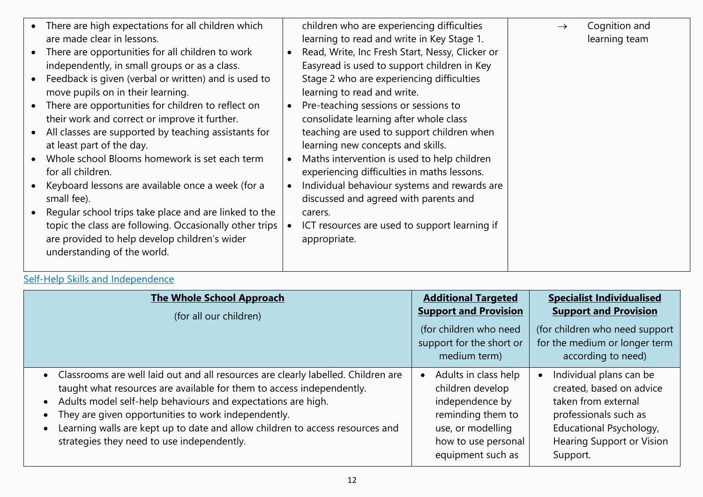| • There are high expectations for all children which<br>are made clear in lessons.                                                                                                                                                                                                                                                                                                                                                                                                                                                                                                                                                                                                                                                                     | children who are experiencing difficulties<br>learning to read and write in Key Stage 1.                                                                                                                                                                                                                                                                                                                                                                                                                                                                                                                           | Cognition and<br>$\rightarrow$<br>learning team |
|--------------------------------------------------------------------------------------------------------------------------------------------------------------------------------------------------------------------------------------------------------------------------------------------------------------------------------------------------------------------------------------------------------------------------------------------------------------------------------------------------------------------------------------------------------------------------------------------------------------------------------------------------------------------------------------------------------------------------------------------------------|--------------------------------------------------------------------------------------------------------------------------------------------------------------------------------------------------------------------------------------------------------------------------------------------------------------------------------------------------------------------------------------------------------------------------------------------------------------------------------------------------------------------------------------------------------------------------------------------------------------------|-------------------------------------------------|
| • There are opportunities for all children to work<br>independently, in small groups or as a class.<br>• Feedback is given (verbal or written) and is used to<br>move pupils on in their learning.<br>• There are opportunities for children to reflect on<br>their work and correct or improve it further.<br>• All classes are supported by teaching assistants for<br>at least part of the day.<br>• Whole school Blooms homework is set each term<br>for all children.<br>• Keyboard lessons are available once a week (for a<br>small fee).<br>• Regular school trips take place and are linked to the<br>topic the class are following. Occasionally other trips<br>are provided to help develop children's wider<br>understanding of the world. | Read, Write, Inc Fresh Start, Nessy, Clicker or<br>Easyread is used to support children in Key<br>Stage 2 who are experiencing difficulties<br>learning to read and write.<br>Pre-teaching sessions or sessions to<br>consolidate learning after whole class<br>teaching are used to support children when<br>learning new concepts and skills.<br>Maths intervention is used to help children<br>experiencing difficulties in maths lessons.<br>Individual behaviour systems and rewards are<br>discussed and agreed with parents and<br>carers.<br>ICT resources are used to support learning if<br>appropriate. |                                                 |

# Self-Help Skills and Independence

| <b>The Whole School Approach</b><br>(for all our children)                                                                                                                                                                                                                                                                                                                                                         | <b>Additional Targeted</b><br><b>Support and Provision</b><br>(for children who need<br>support for the short or<br>medium term)                  | <b>Specialist Individualised</b><br><b>Support and Provision</b><br>(for children who need support<br>for the medium or longer term<br>according to need)                                   |
|--------------------------------------------------------------------------------------------------------------------------------------------------------------------------------------------------------------------------------------------------------------------------------------------------------------------------------------------------------------------------------------------------------------------|---------------------------------------------------------------------------------------------------------------------------------------------------|---------------------------------------------------------------------------------------------------------------------------------------------------------------------------------------------|
| • Classrooms are well laid out and all resources are clearly labelled. Children are<br>taught what resources are available for them to access independently.<br>Adults model self-help behaviours and expectations are high.<br>They are given opportunities to work independently.<br>Learning walls are kept up to date and allow children to access resources and<br>strategies they need to use independently. | Adults in class help<br>children develop<br>independence by<br>reminding them to<br>use, or modelling<br>how to use personal<br>equipment such as | Individual plans can be<br>$\bullet$<br>created, based on advice<br>taken from external<br>professionals such as<br>Educational Psychology,<br><b>Hearing Support or Vision</b><br>Support. |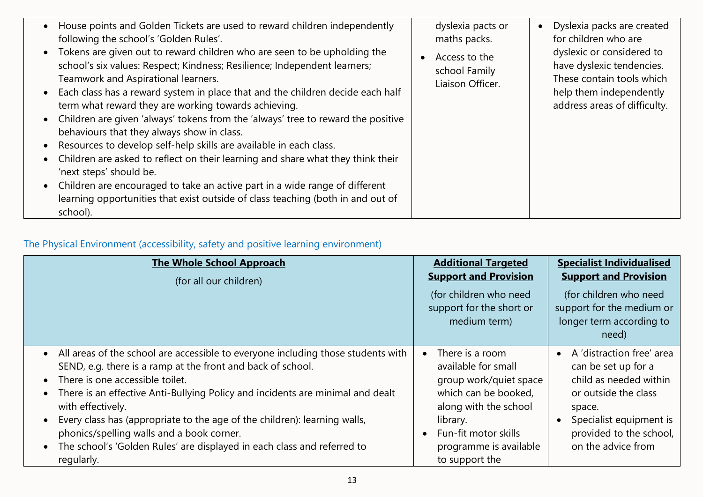| House points and Golden Tickets are used to reward children independently<br>• Dyslexia packs are created<br>dyslexia pacts or<br>following the school's 'Golden Rules'.<br>for children who are<br>maths packs.<br>• Tokens are given out to reward children who are seen to be upholding the<br>dyslexic or considered to<br>Access to the<br>school's six values: Respect; Kindness; Resilience; Independent learners;<br>have dyslexic tendencies.<br>school Family<br>These contain tools which<br>Teamwork and Aspirational learners.<br>Liaison Officer.<br>Each class has a reward system in place that and the children decide each half<br>help them independently<br>term what reward they are working towards achieving.<br>address areas of difficulty.<br>Children are given 'always' tokens from the 'always' tree to reward the positive<br>behaviours that they always show in class.<br>Resources to develop self-help skills are available in each class.<br>Children are asked to reflect on their learning and share what they think their<br>'next steps' should be.<br>Children are encouraged to take an active part in a wide range of different<br>learning opportunities that exist outside of class teaching (both in and out of |          |  |
|--------------------------------------------------------------------------------------------------------------------------------------------------------------------------------------------------------------------------------------------------------------------------------------------------------------------------------------------------------------------------------------------------------------------------------------------------------------------------------------------------------------------------------------------------------------------------------------------------------------------------------------------------------------------------------------------------------------------------------------------------------------------------------------------------------------------------------------------------------------------------------------------------------------------------------------------------------------------------------------------------------------------------------------------------------------------------------------------------------------------------------------------------------------------------------------------------------------------------------------------------------------|----------|--|
|                                                                                                                                                                                                                                                                                                                                                                                                                                                                                                                                                                                                                                                                                                                                                                                                                                                                                                                                                                                                                                                                                                                                                                                                                                                              |          |  |
|                                                                                                                                                                                                                                                                                                                                                                                                                                                                                                                                                                                                                                                                                                                                                                                                                                                                                                                                                                                                                                                                                                                                                                                                                                                              |          |  |
|                                                                                                                                                                                                                                                                                                                                                                                                                                                                                                                                                                                                                                                                                                                                                                                                                                                                                                                                                                                                                                                                                                                                                                                                                                                              | school). |  |

# The Physical Environment (accessibility, safety and positive learning environment)

| <b>The Whole School Approach</b><br>(for all our children)                                                                                                                                                                                                                                                                                                                                                                                                                                                     | <b>Additional Targeted</b><br><b>Support and Provision</b><br>(for children who need<br>support for the short or<br>medium term)                                                                               | <b>Specialist Individualised</b><br><b>Support and Provision</b><br>(for children who need<br>support for the medium or<br>longer term according to<br>need)                                          |
|----------------------------------------------------------------------------------------------------------------------------------------------------------------------------------------------------------------------------------------------------------------------------------------------------------------------------------------------------------------------------------------------------------------------------------------------------------------------------------------------------------------|----------------------------------------------------------------------------------------------------------------------------------------------------------------------------------------------------------------|-------------------------------------------------------------------------------------------------------------------------------------------------------------------------------------------------------|
| • All areas of the school are accessible to everyone including those students with<br>SEND, e.g. there is a ramp at the front and back of school.<br>There is one accessible toilet.<br>There is an effective Anti-Bullying Policy and incidents are minimal and dealt<br>with effectively.<br>Every class has (appropriate to the age of the children): learning walls,<br>phonics/spelling walls and a book corner.<br>The school's 'Golden Rules' are displayed in each class and referred to<br>regularly. | There is a room<br>$\bullet$<br>available for small<br>group work/quiet space<br>which can be booked,<br>along with the school<br>library.<br>Fun-fit motor skills<br>programme is available<br>to support the | A 'distraction free' area<br>$\bullet$<br>can be set up for a<br>child as needed within<br>or outside the class<br>space.<br>Specialist equipment is<br>provided to the school,<br>on the advice from |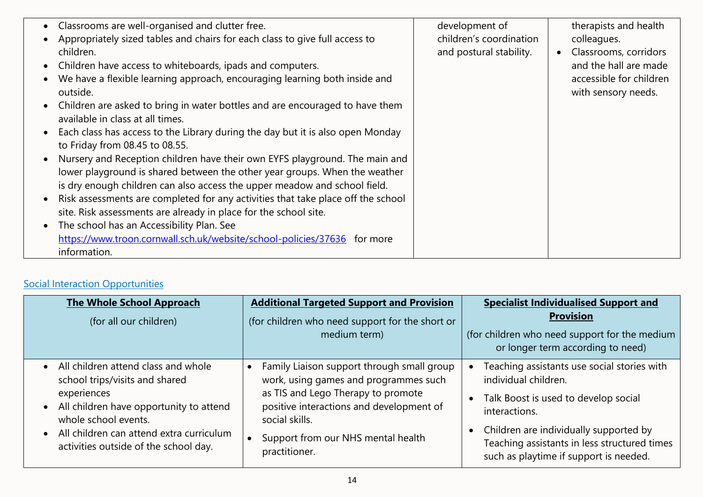| Classrooms are well-organised and clutter free.<br>Appropriately sized tables and chairs for each class to give full access to<br>children.<br>Children have access to whiteboards, ipads and computers.<br>We have a flexible learning approach, encouraging learning both inside and<br>outside.<br>Children are asked to bring in water bottles and are encouraged to have them<br>available in class at all times.<br>Each class has access to the Library during the day but it is also open Monday<br>to Friday from 08.45 to 08.55.<br>Nursery and Reception children have their own EYFS playground. The main and<br>lower playground is shared between the other year groups. When the weather<br>is dry enough children can also access the upper meadow and school field.<br>Risk assessments are completed for any activities that take place off the school | development of<br>children's coordination<br>and postural stability. | therapists and health<br>colleagues.<br>Classrooms, corridors<br>$\bullet$<br>and the hall are made<br>accessible for children<br>with sensory needs. |
|--------------------------------------------------------------------------------------------------------------------------------------------------------------------------------------------------------------------------------------------------------------------------------------------------------------------------------------------------------------------------------------------------------------------------------------------------------------------------------------------------------------------------------------------------------------------------------------------------------------------------------------------------------------------------------------------------------------------------------------------------------------------------------------------------------------------------------------------------------------------------|----------------------------------------------------------------------|-------------------------------------------------------------------------------------------------------------------------------------------------------|
| site. Risk assessments are already in place for the school site.<br>The school has an Accessibility Plan. See<br>https://www.troon.cornwall.sch.uk/website/school-policies/37636 for more<br>information.                                                                                                                                                                                                                                                                                                                                                                                                                                                                                                                                                                                                                                                                |                                                                      |                                                                                                                                                       |

# Social Interaction Opportunities

| <b>The Whole School Approach</b><br>(for all our children) | <b>Additional Targeted Support and Provision</b><br>(for children who need support for the short or<br>medium term) | <b>Specialist Individualised Support and</b><br><b>Provision</b><br>(for children who need support for the medium<br>or longer term according to need) |
|------------------------------------------------------------|---------------------------------------------------------------------------------------------------------------------|--------------------------------------------------------------------------------------------------------------------------------------------------------|
| • All children attend class and whole                      | Family Liaison support through small group                                                                          | Teaching assistants use social stories with                                                                                                            |
| school trips/visits and shared                             | work, using games and programmes such                                                                               | individual children.                                                                                                                                   |
| experiences                                                | as TIS and Lego Therapy to promote                                                                                  | Talk Boost is used to develop social                                                                                                                   |
| • All children have opportunity to attend                  | positive interactions and development of                                                                            | interactions.                                                                                                                                          |
| whole school events.                                       | social skills.                                                                                                      | Children are individually supported by                                                                                                                 |
| • All children can attend extra curriculum                 | Support from our NHS mental health                                                                                  | Teaching assistants in less structured times                                                                                                           |
| activities outside of the school day.                      | practitioner.                                                                                                       | such as playtime if support is needed.                                                                                                                 |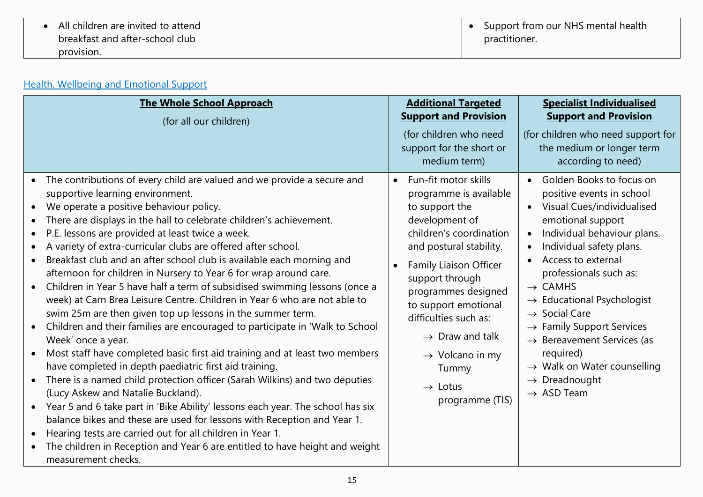| All children are invited to attend |  | Support from our NHS mental health |
|------------------------------------|--|------------------------------------|
| breakfast and after-school club    |  | practitioner.                      |
| provision.                         |  |                                    |

# Health, Wellbeing and Emotional Support

| <b>The Whole School Approach</b>                                                                                                                                                                                                                                                                                                                                                                                                                                                                                                                                                                                                                                                                                                                                                                                                                                                                                                                                                                                                                                                                                                                                                                                                                                                                                                                                                                                             | <b>Additional Targeted</b>                                                                                                                                                                                                                                                                                                                                                                  | <b>Specialist Individualised</b>                                                                                                                                                                                                                                                                                                                                                                                                                                                                                                                                        |
|------------------------------------------------------------------------------------------------------------------------------------------------------------------------------------------------------------------------------------------------------------------------------------------------------------------------------------------------------------------------------------------------------------------------------------------------------------------------------------------------------------------------------------------------------------------------------------------------------------------------------------------------------------------------------------------------------------------------------------------------------------------------------------------------------------------------------------------------------------------------------------------------------------------------------------------------------------------------------------------------------------------------------------------------------------------------------------------------------------------------------------------------------------------------------------------------------------------------------------------------------------------------------------------------------------------------------------------------------------------------------------------------------------------------------|---------------------------------------------------------------------------------------------------------------------------------------------------------------------------------------------------------------------------------------------------------------------------------------------------------------------------------------------------------------------------------------------|-------------------------------------------------------------------------------------------------------------------------------------------------------------------------------------------------------------------------------------------------------------------------------------------------------------------------------------------------------------------------------------------------------------------------------------------------------------------------------------------------------------------------------------------------------------------------|
| (for all our children)                                                                                                                                                                                                                                                                                                                                                                                                                                                                                                                                                                                                                                                                                                                                                                                                                                                                                                                                                                                                                                                                                                                                                                                                                                                                                                                                                                                                       | <b>Support and Provision</b>                                                                                                                                                                                                                                                                                                                                                                | <b>Support and Provision</b>                                                                                                                                                                                                                                                                                                                                                                                                                                                                                                                                            |
|                                                                                                                                                                                                                                                                                                                                                                                                                                                                                                                                                                                                                                                                                                                                                                                                                                                                                                                                                                                                                                                                                                                                                                                                                                                                                                                                                                                                                              | (for children who need<br>support for the short or<br>medium term)                                                                                                                                                                                                                                                                                                                          | (for children who need support for<br>the medium or longer term<br>according to need)                                                                                                                                                                                                                                                                                                                                                                                                                                                                                   |
| The contributions of every child are valued and we provide a secure and<br>supportive learning environment.<br>We operate a positive behaviour policy.<br>There are displays in the hall to celebrate children's achievement.<br>P.E. lessons are provided at least twice a week.<br>A variety of extra-curricular clubs are offered after school.<br>Breakfast club and an after school club is available each morning and<br>afternoon for children in Nursery to Year 6 for wrap around care.<br>Children in Year 5 have half a term of subsidised swimming lessons (once a<br>week) at Carn Brea Leisure Centre. Children in Year 6 who are not able to<br>swim 25m are then given top up lessons in the summer term.<br>Children and their families are encouraged to participate in 'Walk to School<br>Week' once a year.<br>Most staff have completed basic first aid training and at least two members<br>have completed in depth paediatric first aid training.<br>There is a named child protection officer (Sarah Wilkins) and two deputies<br>(Lucy Askew and Natalie Buckland).<br>Year 5 and 6 take part in 'Bike Ability' lessons each year. The school has six<br>balance bikes and these are used for lessons with Reception and Year 1.<br>Hearing tests are carried out for all children in Year 1.<br>The children in Reception and Year 6 are entitled to have height and weight<br>measurement checks. | Fun-fit motor skills<br>$\bullet$<br>programme is available<br>to support the<br>development of<br>children's coordination<br>and postural stability.<br>Family Liaison Officer<br>support through<br>programmes designed<br>to support emotional<br>difficulties such as:<br>$\rightarrow$ Draw and talk<br>$\rightarrow$ Volcano in my<br>Tummy<br>$\rightarrow$ Lotus<br>programme (TIS) | Golden Books to focus on<br>$\bullet$<br>positive events in school<br>Visual Cues/individualised<br>$\bullet$<br>emotional support<br>Individual behaviour plans.<br>$\bullet$<br>Individual safety plans.<br>$\bullet$<br>Access to external<br>professionals such as:<br>$\rightarrow$ CAMHS<br>$\rightarrow$ Educational Psychologist<br>$\rightarrow$ Social Care<br>$\rightarrow$ Family Support Services<br>$\rightarrow$ Bereavement Services (as<br>required)<br>$\rightarrow$ Walk on Water counselling<br>$\rightarrow$ Dreadnought<br>$\rightarrow$ ASD Team |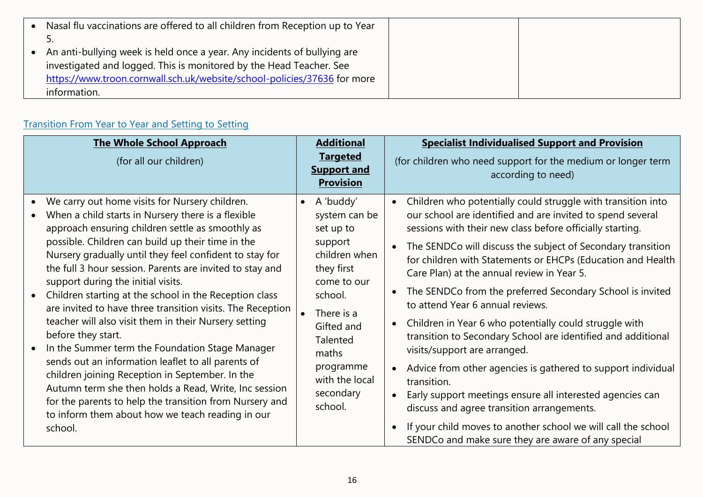| • Nasal flu vaccinations are offered to all children from Reception up to Year |  |
|--------------------------------------------------------------------------------|--|
|                                                                                |  |
| • An anti-bullying week is held once a year. Any incidents of bullying are     |  |
| investigated and logged. This is monitored by the Head Teacher. See            |  |
| https://www.troon.cornwall.sch.uk/website/school-policies/37636 for more       |  |
| information.                                                                   |  |

# Transition From Year to Year and Setting to Setting

| <b>The Whole School Approach</b><br>(for all our children)                                                                                                                                                                                                                                                                                                                                                                                                                                                                                                                                                                                                                                                                                                                                                                                                                                                                         | <b>Additional</b><br><b>Targeted</b><br><b>Support and</b><br><b>Provision</b>                                                                                                                                      | <b>Specialist Individualised Support and Provision</b><br>(for children who need support for the medium or longer term<br>according to need)                                                                                                                                                                                                                                                                                                                                                                                                                                                                                                                                                                                                                                                                                                                                                                                                    |
|------------------------------------------------------------------------------------------------------------------------------------------------------------------------------------------------------------------------------------------------------------------------------------------------------------------------------------------------------------------------------------------------------------------------------------------------------------------------------------------------------------------------------------------------------------------------------------------------------------------------------------------------------------------------------------------------------------------------------------------------------------------------------------------------------------------------------------------------------------------------------------------------------------------------------------|---------------------------------------------------------------------------------------------------------------------------------------------------------------------------------------------------------------------|-------------------------------------------------------------------------------------------------------------------------------------------------------------------------------------------------------------------------------------------------------------------------------------------------------------------------------------------------------------------------------------------------------------------------------------------------------------------------------------------------------------------------------------------------------------------------------------------------------------------------------------------------------------------------------------------------------------------------------------------------------------------------------------------------------------------------------------------------------------------------------------------------------------------------------------------------|
| • We carry out home visits for Nursery children.<br>When a child starts in Nursery there is a flexible<br>approach ensuring children settle as smoothly as<br>possible. Children can build up their time in the<br>Nursery gradually until they feel confident to stay for<br>the full 3 hour session. Parents are invited to stay and<br>support during the initial visits.<br>Children starting at the school in the Reception class<br>are invited to have three transition visits. The Reception<br>teacher will also visit them in their Nursery setting<br>before they start.<br>In the Summer term the Foundation Stage Manager<br>sends out an information leaflet to all parents of<br>children joining Reception in September. In the<br>Autumn term she then holds a Read, Write, Inc session<br>for the parents to help the transition from Nursery and<br>to inform them about how we teach reading in our<br>school. | A 'buddy'<br>system can be<br>set up to<br>support<br>children when<br>they first<br>come to our<br>school.<br>There is a<br>Gifted and<br>Talented<br>maths<br>programme<br>with the local<br>secondary<br>school. | Children who potentially could struggle with transition into<br>our school are identified and are invited to spend several<br>sessions with their new class before officially starting.<br>The SENDCo will discuss the subject of Secondary transition<br>for children with Statements or EHCPs (Education and Health<br>Care Plan) at the annual review in Year 5.<br>The SENDCo from the preferred Secondary School is invited<br>to attend Year 6 annual reviews.<br>Children in Year 6 who potentially could struggle with<br>transition to Secondary School are identified and additional<br>visits/support are arranged.<br>Advice from other agencies is gathered to support individual<br>transition.<br>Early support meetings ensure all interested agencies can<br>discuss and agree transition arrangements.<br>If your child moves to another school we will call the school<br>SENDCo and make sure they are aware of any special |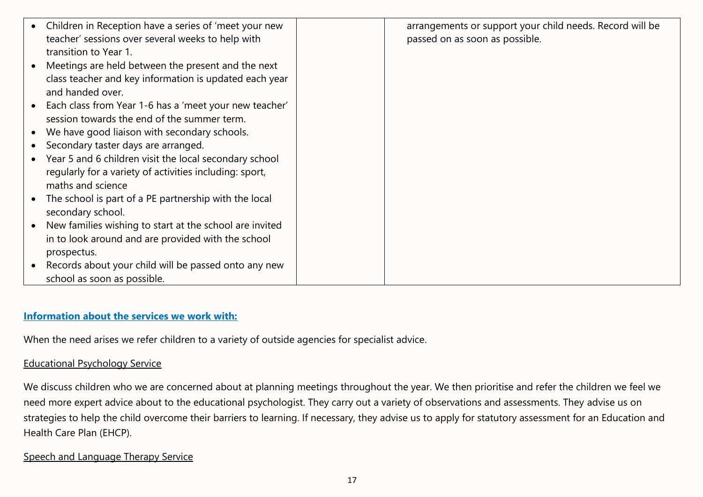| • Children in Reception have a series of 'meet your new  | arrangements or support your child needs. Record will be |
|----------------------------------------------------------|----------------------------------------------------------|
| teacher' sessions over several weeks to help with        | passed on as soon as possible.                           |
| transition to Year 1.                                    |                                                          |
| Meetings are held between the present and the next       |                                                          |
| class teacher and key information is updated each year   |                                                          |
| and handed over.                                         |                                                          |
| Each class from Year 1-6 has a 'meet your new teacher'   |                                                          |
| session towards the end of the summer term.              |                                                          |
| We have good liaison with secondary schools.             |                                                          |
| Secondary taster days are arranged.                      |                                                          |
| • Year 5 and 6 children visit the local secondary school |                                                          |
| regularly for a variety of activities including: sport,  |                                                          |
| maths and science                                        |                                                          |
| The school is part of a PE partnership with the local    |                                                          |
| secondary school.                                        |                                                          |
| New families wishing to start at the school are invited  |                                                          |
| in to look around and are provided with the school       |                                                          |
| prospectus.                                              |                                                          |
| Records about your child will be passed onto any new     |                                                          |
| school as soon as possible.                              |                                                          |

#### **Information about the services we work with:**

When the need arises we refer children to a variety of outside agencies for specialist advice.

#### Educational Psychology Service

We discuss children who we are concerned about at planning meetings throughout the year. We then prioritise and refer the children we feel we need more expert advice about to the educational psychologist. They carry out a variety of observations and assessments. They advise us on strategies to help the child overcome their barriers to learning. If necessary, they advise us to apply for statutory assessment for an Education and Health Care Plan (EHCP).

### Speech and Language Therapy Service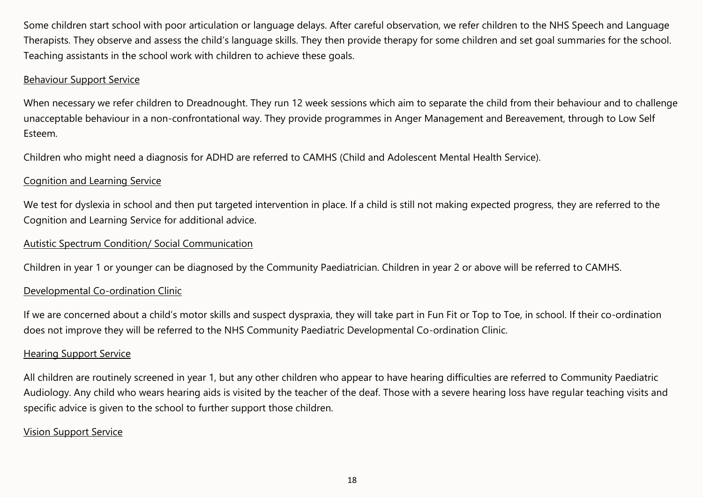Some children start school with poor articulation or language delays. After careful observation, we refer children to the NHS Speech and Language Therapists. They observe and assess the child's language skills. They then provide therapy for some children and set goal summaries for the school. Teaching assistants in the school work with children to achieve these goals.

### Behaviour Support Service

When necessary we refer children to Dreadnought. They run 12 week sessions which aim to separate the child from their behaviour and to challenge unacceptable behaviour in a non-confrontational way. They provide programmes in Anger Management and Bereavement, through to Low Self Esteem.

Children who might need a diagnosis for ADHD are referred to CAMHS (Child and Adolescent Mental Health Service).

### Cognition and Learning Service

We test for dyslexia in school and then put targeted intervention in place. If a child is still not making expected progress, they are referred to the Cognition and Learning Service for additional advice.

### Autistic Spectrum Condition/ Social Communication

Children in year 1 or younger can be diagnosed by the Community Paediatrician. Children in year 2 or above will be referred to CAMHS.

### Developmental Co-ordination Clinic

If we are concerned about a child's motor skills and suspect dyspraxia, they will take part in Fun Fit or Top to Toe, in school. If their co-ordination does not improve they will be referred to the NHS Community Paediatric Developmental Co-ordination Clinic.

### Hearing Support Service

All children are routinely screened in year 1, but any other children who appear to have hearing difficulties are referred to Community Paediatric Audiology. Any child who wears hearing aids is visited by the teacher of the deaf. Those with a severe hearing loss have regular teaching visits and specific advice is given to the school to further support those children.

## Vision Support Service